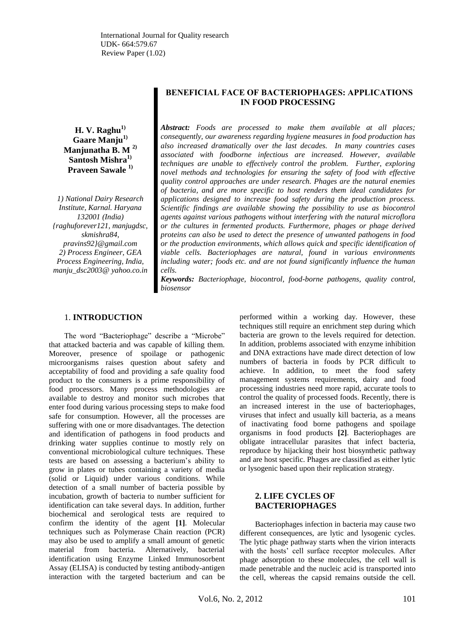**H. V. Raghu1) Gaare Manju1) Manjunatha B. M 2) Santosh Mishra1) Praveen Sawale 1)**

*1) National Dairy Research Institute, Karnal. Haryana 132001 (India) {raghuforever121, manjugdsc, skmishra84, pravins92}@gmail.com 2) Process Engineer, GEA Process Engineering, India, manju\_dsc2003@ yahoo.co.in*

# **BENEFICIAL FACE OF BACTERIOPHAGES: APPLICATIONS IN FOOD PROCESSING**

*Abstract: Foods are processed to make them available at all places; consequently, our awareness regarding hygiene measures in food production has also increased dramatically over the last decades. In many countries cases associated with foodborne infectious are increased. However, available techniques are unable to effectively control the problem. Further, exploring novel methods and technologies for ensuring the safety of food with effective quality control approaches are under research. Phages are the natural enemies of bacteria, and are more specific to host renders them ideal candidates for applications designed to increase food safety during the production process. Scientific findings are available showing the possibility to use as biocontrol agents against various pathogens without interfering with the natural microflora or the cultures in fermented products. Furthermore, phages or phage derived proteins can also be used to detect the presence of unwanted pathogens in food or the production environments, which allows quick and specific identification of viable cells. Bacteriophages are natural, found in various environments including water; foods etc. and are not found significantly influence the human cells.*

*Keywords: Bacteriophage, biocontrol, food-borne pathogens, quality control, biosensor*

# 1. **INTRODUCTION**

The word "Bacteriophage" describe a "Microbe" that attacked bacteria and was capable of killing them. Moreover, presence of spoilage or pathogenic microorganisms raises question about safety and acceptability of food and providing a safe quality food product to the consumers is a prime responsibility of food processors. Many process methodologies are available to destroy and monitor such microbes that enter food during various processing steps to make food safe for consumption. However, all the processes are suffering with one or more disadvantages. The detection and identification of pathogens in food products and drinking water supplies continue to mostly rely on conventional microbiological culture techniques. These tests are based on assessing a bacterium"s ability to grow in plates or tubes containing a variety of media (solid or Liquid) under various conditions. While detection of a small number of bacteria possible by incubation, growth of bacteria to number sufficient for identification can take several days. In addition, further biochemical and serological tests are required to confirm the identity of the agent **[1]**. Molecular techniques such as Polymerase Chain reaction (PCR) may also be used to amplify a small amount of genetic material from bacteria. Alternatively, bacterial identification using Enzyme Linked Immunosorbent Assay (ELISA) is conducted by testing antibody-antigen interaction with the targeted bacterium and can be

performed within a working day. However, these techniques still require an enrichment step during which bacteria are grown to the levels required for detection. In addition, problems associated with enzyme inhibition and DNA extractions have made direct detection of low numbers of bacteria in foods by PCR difficult to achieve. In addition, to meet the food safety management systems requirements, dairy and food processing industries need more rapid, accurate tools to control the quality of processed foods. Recently, there is an increased interest in the use of bacteriophages, viruses that infect and usually kill bacteria, as a means of inactivating food borne pathogens and spoilage organisms in food products **[2]**. Bacteriophages are obligate intracellular parasites that infect bacteria, reproduce by hijacking their host biosynthetic pathway and are host specific. Phages are classified as either lytic or lysogenic based upon their replication strategy.

# **2. LIFE CYCLES OF BACTERIOPHAGES**

Bacteriophages infection in bacteria may cause two different consequences, are lytic and lysogenic cycles. The lytic phage pathway starts when the virion interacts with the hosts" cell surface receptor molecules. After phage adsorption to these molecules, the cell wall is made penetrable and the nucleic acid is transported into the cell, whereas the capsid remains outside the cell.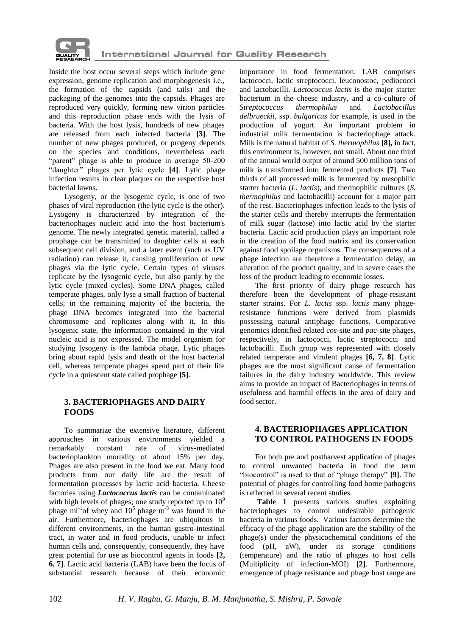

Inside the host occur several steps which include gene expression, genome replication and morphogenesis i.e., the formation of the capsids (and tails) and the packaging of the genomes into the capsids. Phages are reproduced very quickly, forming new virion particles and this reproduction phase ends with the lysis of bacteria. With the host lysis, hundreds of new phages are released from each infected bacteria **[3]**. The number of new phages produced, or progeny depends on the species and conditions, nevertheless each "parent" phage is able to produce in average 50-200 "daughter" phages per lytic cycle **[4]**. Lytic phage infection results in clear plaques on the respective host bacterial lawns.

Lysogeny, or the lysogenic cycle, is one of two phases of viral reproduction (the lytic cycle is the other). Lysogeny is characterized by integration of the bacteriophages nucleic acid into the host bacterium's genome. The newly integrated genetic material, called a prophage can be transmitted to daughter cells at each subsequent cell division, and a later event (such as UV radiation) can release it, causing proliferation of new phages via the lytic cycle. Certain types of viruses replicate by the lysogenic cycle, but also partly by the lytic cycle (mixed cycles). Some DNA phages, called temperate phages, only lyse a small fraction of bacterial cells; in the remaining majority of the bacteria, the phage DNA becomes integrated into the bacterial chromosome and replicates along with it. In this lysogenic state, the information contained in the viral nucleic acid is not expressed. The model organism for studying lysogeny is the lambda phage. Lytic phages bring about rapid lysis and death of the host bacterial cell, whereas temperate phages spend part of their life cycle in a quiescent state called prophage **[5]**.

# **3. BACTERIOPHAGES AND DAIRY FOODS**

To summarize the extensive literature, different approaches in various environments yielded a remarkably constant rate of virus-mediated bacterioplankton mortality of about 15% per day. Phages are also present in the food we eat. Many food products from our daily life are the result of fermentation processes by lactic acid bacteria. Cheese factories using *Lactococcus lactis* can be contaminated with high levels of phages; one study reported up to  $10<sup>9</sup>$ phage  $ml^{-1}$  of whey and  $10^5$  phage  $m^{-3}$  was found in the air. Furthermore, bacteriophages are ubiquitous in different environments, in the human gastro-intestinal tract, in water and in food products, unable to infect human cells and, consequently, consequently, they have great potential for use as biocontrol agents in foods **[2, 6, 7]**. Lactic acid bacteria (LAB) have been the focus of substantial research because of their economic

importance in food fermentation. LAB comprises lactococci, lactic streptococci, leuconostoc, pediococci and lactobacilli. *Lactococcus lactis* is the major starter bacterium in the cheese industry, and a co-culture of *Streptococcus thermophilus* and *Lactobacillus delbrueckii,* ssp. *bulgaricus* for example, is used in the production of yogurt. An important problem in industrial milk fermentation is bacteriophage attack. Milk is the natural habitat of *S. thermophilus* **[8], i**n fact, this environment is, however, not small. About one third of the annual world output of around 500 million tons of milk is transformed into fermented products **[7]**. Two thirds of all processed milk is fermented by mesophilic starter bacteria (*L. lactis*), and thermophilic cultures (*S. thermophilus* and lactobacilli) account for a major part of the rest. Bacteriophages infection leads to the lysis of the starter cells and thereby interrupts the fermentation of milk sugar (lactose) into lactic acid by the starter bacteria. Lactic acid production plays an important role in the creation of the food matrix and its conservation against food spoilage organisms. The consequences of a phage infection are therefore a fermentation delay, an alteration of the product quality, and in severe cases the loss of the product leading to economic losses.

The first priority of dairy phage research has therefore been the development of phage-resistant starter strains. For *L. lactis* ssp. *lactis* many phageresistance functions were derived from plasmids possessing natural antiphage functions. Comparative genomics identified related *cos*-site and *pac*-site phages, respectively, in lactococci, lactic streptococci and lactobacilli. Each group was represented with closely related temperate and virulent phages **[6, 7, 8]**. Lytic phages are the most significant cause of fermentation failures in the dairy industry worldwide. This review aims to provide an impact of Bacteriophages in terms of usefulness and harmful effects in the area of dairy and food sector.

# **4. BACTERIOPHAGES APPLICATION TO CONTROL PATHOGENS IN FOODS**

For both pre and postharvest application of phages to control unwanted bacteria in food the term "biocontrol" is used to that of "phage therapy" **[9]**. The potential of phages for controlling food borne pathogens is reflected in several recent studies.

**Table 1** presents various studies exploiting bacteriophages to control undesirable pathogenic bacteria in various foods. Various factors determine the efficacy of the phage application are the stability of the phage(s) under the physicochemical conditions of the food (pH, aW), under its storage conditions (temperature) and the ratio of phages to host cells (Multiplicity of infection-MOI) **[2]**. Furthermore, emergence of phage resistance and phage host range are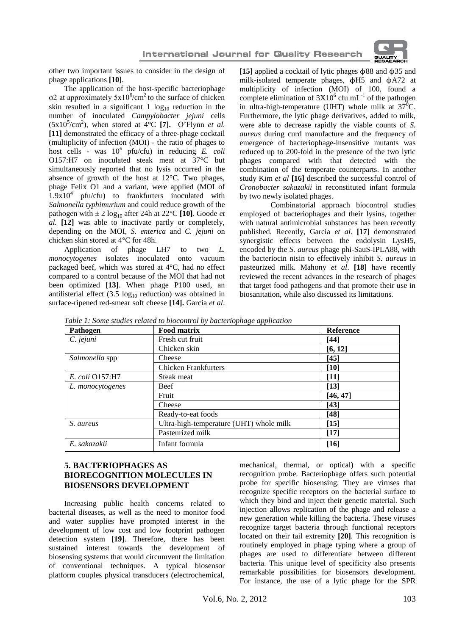

other two important issues to consider in the design of phage applications **[10]**.

The application of the host-specific bacteriophage  $\varphi$ 2 at approximately 5x10<sup>6</sup>/cm<sup>2</sup> to the surface of chicken skin resulted in a significant 1  $log_{10}$  reduction in the number of inoculated *Campylobacter jejuni* cells  $(5x10^5/cm^2)$ , when stored at  $4^{\circ}$ C [7]. O'Flynn *et al.* **[11]** demonstrated the efficacy of a three-phage cocktail (multiplicity of infection (MOI) - the ratio of phages to host cells - was  $10^6$  pfu/cfu) in reducing *E. coli* O157:H7 on inoculated steak meat at 37°C but simultaneously reported that no lysis occurred in the absence of growth of the host at 12°C. Two phages, phage Felix O1 and a variant, were applied (MOI of  $1.9x10<sup>4</sup>$  pfu/cfu) to frankfurters inoculated with *Salmonella typhimurium* and could reduce growth of the pathogen with  $\pm 2 \log_{10}$  after 24h at 22<sup>o</sup>C [10]. Goode *et al.* **[12]** was able to inactivate partly or completely, depending on the MOI, *S. enterica* and *C. jejuni* on chicken skin stored at 4°C for 48h.

Application of phage LH7 to two *L. monocytogenes* isolates inoculated onto vacuum packaged beef, which was stored at 4°C, had no effect compared to a control because of the MOI that had not been optimized **[13]**. When phage P100 used, an antilisterial effect  $(3.5 \log_{10} \text{ reduction})$  was obtained in surface-ripened red-smear soft cheese **[14].** Garcia *et al*.

**[15]** applied a cocktail of lytic phages ϕ88 and ϕ35 and milk-isolated temperate phages, ϕH5 and ϕA72 at multiplicity of infection (MOI) of 100, found a complete elimination of  $3X10^6$  cfu mL<sup>-1</sup> of the pathogen in ultra-high-temperature (UHT) whole milk at  $37^{\circ}$ C. Furthermore, the lytic phage derivatives, added to milk, were able to decrease rapidly the viable counts of *S. aureus* during curd manufacture and the frequency of emergence of bacteriophage-insensitive mutants was reduced up to 200-fold in the presence of the two lytic phages compared with that detected with the combination of the temperate counterparts. In another study Kim *et al* **[16]** described the successful control of *Cronobacter sakazakii* in reconstituted infant formula by two newly isolated phages.

Combinatorial approach biocontrol studies employed of bacteriophages and their lysins, together with natural antimicrobial substances has been recently published. Recently, Garcia *et al.* **[17]** demonstrated synergistic effects between the endolysin LysH5, encoded by the *S. aureus* phage phi-SauS-IPLA88, with the bacteriocin nisin to effectively inhibit *S. aureus* in pasteurized milk. Mahony *et al*. **[18]** have recently reviewed the recent advances in the research of phages that target food pathogens and that promote their use in biosanitation, while also discussed its limitations.

| Pathogen         | <b>Food matrix</b>                      | <b>Reference</b> |
|------------------|-----------------------------------------|------------------|
| C. jejuni        | Fresh cut fruit                         | [44]             |
|                  | Chicken skin                            | [6, 12]          |
| Salmonella spp   | Cheese                                  | [45]             |
|                  | <b>Chicken Frankfurters</b>             | [10]             |
| E. coli Q157:H7  | Steak meat                              | [11]             |
| L. monocytogenes | <b>Beef</b>                             | [13]             |
|                  | Fruit                                   | [46, 47]         |
|                  | Cheese                                  | [43]             |
|                  | Ready-to-eat foods                      | [48]             |
| S. aureus        | Ultra-high-temperature (UHT) whole milk | $[15]$           |
|                  | Pasteurized milk                        | $[17]$           |
| E. sakazakii     | Infant formula                          | [16]             |

*Table 1: Some studies related to biocontrol by bacteriophage application*

# **5. BACTERIOPHAGES AS BIORECOGNITION MOLECULES IN BIOSENSORS DEVELOPMENT**

Increasing public health concerns related to bacterial diseases, as well as the need to monitor food and water supplies have prompted interest in the development of low cost and low footprint pathogen detection system **[19]**. Therefore, there has been sustained interest towards the development of biosensing systems that would circumvent the limitation of conventional techniques. A typical biosensor platform couples physical transducers (electrochemical,

mechanical, thermal, or optical) with a specific recognition probe. Bacteriophage offers such potential probe for specific biosensing. They are viruses that recognize specific receptors on the bacterial surface to which they bind and inject their genetic material. Such injection allows replication of the phage and release a new generation while killing the bacteria. These viruses recognize target bacteria through functional receptors located on their tail extremity **[20]**. This recognition is routinely employed in phage typing where a group of phages are used to differentiate between different bacteria. This unique level of specificity also presents remarkable possibilities for biosensors development. For instance, the use of a lytic phage for the SPR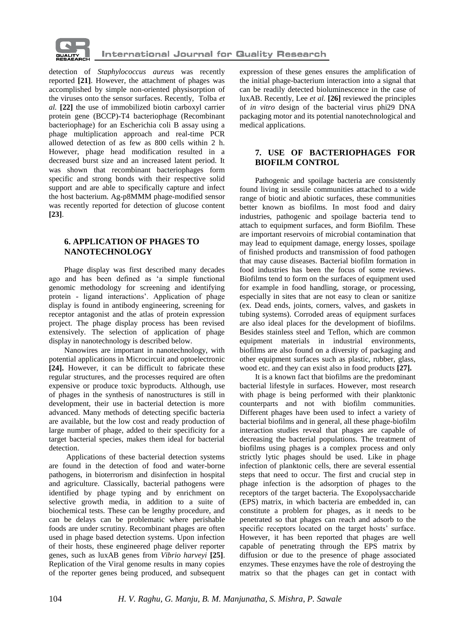

detection of *Staphylococcus aureus* was recently reported **[21]**. However, the attachment of phages was accomplished by simple non-oriented physisorption of the viruses onto the sensor surfaces. Recently, Tolba *et al.* **[22]** the use of immobilized biotin carboxyl carrier protein gene (BCCP)-T4 bacteriophage (Recombinant bacteriophage) for an Escherichia coli B assay using a phage multiplication approach and real-time PCR allowed detection of as few as 800 cells within 2 h. However, phage head modification resulted in a decreased burst size and an increased latent period. It was shown that recombinant bacteriophages form specific and strong bonds with their respective solid support and are able to specifically capture and infect the host bacterium. Ag-p8MMM phage-modified sensor was recently reported for detection of glucose content **[23]**.

### **6. APPLICATION OF PHAGES TO NANOTECHNOLOGY**

Phage display was first described many decades ago and has been defined as "a simple functional genomic methodology for screening and identifying protein - ligand interactions'. Application of phage display is found in antibody engineering, screening for receptor antagonist and the atlas of protein expression project. The phage display process has been revised extensively. The selection of application of phage display in nanotechnology is described below.

Nanowires are important in nanotechnology, with potential applications in Microcircuit and optoelectronic **[24].** However, it can be difficult to fabricate these regular structures, and the processes required are often expensive or produce toxic byproducts. Although, use of phages in the synthesis of nanostructures is still in development, their use in bacterial detection is more advanced. Many methods of detecting specific bacteria are available, but the low cost and ready production of large number of phage, added to their specificity for a target bacterial species, makes them ideal for bacterial detection.

Applications of these bacterial detection systems are found in the detection of food and water-borne pathogens, in bioterrorism and disinfection in hospital and agriculture. Classically, bacterial pathogens were identified by phage typing and by enrichment on selective growth media, in addition to a suite of biochemical tests. These can be lengthy procedure, and can be delays can be problematic where perishable foods are under scrutiny. Recombinant phages are often used in phage based detection systems. Upon infection of their hosts, these engineered phage deliver reporter genes, such as luxAB genes from *Vibrio harveyi* **[25]**. Replication of the Viral genome results in many copies of the reporter genes being produced, and subsequent

expression of these genes ensures the amplification of the initial phage-bacterium interaction into a signal that can be readily detected bioluminescence in the case of luxAB. Recently, Lee *et al.* **[26]** reviewed the principles of *in vitro* design of the bacterial virus phi29 DNA packaging motor and its potential nanotechnological and medical applications.

## **7. USE OF BACTERIOPHAGES FOR BIOFILM CONTROL**

Pathogenic and spoilage bacteria are consistently found living in sessile communities attached to a wide range of biotic and abiotic surfaces, these communities better known as biofilms. In most food and dairy industries, pathogenic and spoilage bacteria tend to attach to equipment surfaces, and form Biofilm. These are important reservoirs of microbial contamination that may lead to equipment damage, energy losses, spoilage of finished products and transmission of food pathogen that may cause diseases. Bacterial biofilm formation in food industries has been the focus of some reviews. Biofilms tend to form on the surfaces of equipment used for example in food handling, storage, or processing, especially in sites that are not easy to clean or sanitize (ex. Dead ends, joints, corners, valves, and gaskets in tubing systems). Corroded areas of equipment surfaces are also ideal places for the development of biofilms. Besides stainless steel and Teflon, which are common equipment materials in industrial environments, biofilms are also found on a diversity of packaging and other equipment surfaces such as plastic, rubber, glass, wood etc. and they can exist also in food products **[27].**

It is a known fact that biofilms are the predominant bacterial lifestyle in surfaces. However, most research with phage is being performed with their planktonic counterparts and not with biofilm communities. Different phages have been used to infect a variety of bacterial biofilms and in general, all these phage-biofilm interaction studies reveal that phages are capable of decreasing the bacterial populations. The treatment of biofilms using phages is a complex process and only strictly lytic phages should be used. Like in phage infection of planktonic cells, there are several essential steps that need to occur. The first and crucial step in phage infection is the adsorption of phages to the receptors of the target bacteria. The Exopolysaccharide (EPS) matrix, in which bacteria are embedded in, can constitute a problem for phages, as it needs to be penetrated so that phages can reach and adsorb to the specific receptors located on the target hosts' surface. However, it has been reported that phages are well capable of penetrating through the EPS matrix by diffusion or due to the presence of phage associated enzymes. These enzymes have the role of destroying the matrix so that the phages can get in contact with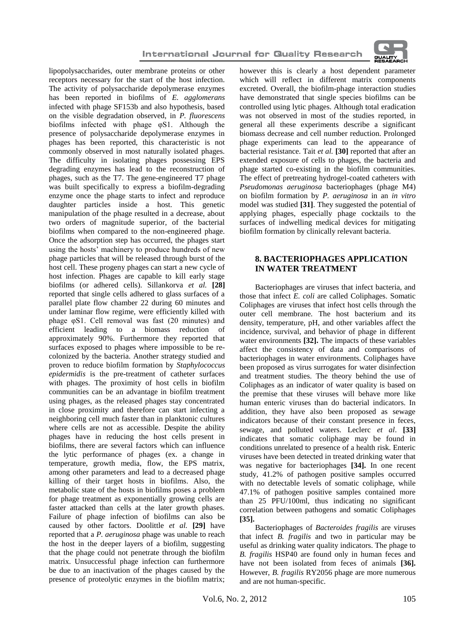

lipopolysaccharides, outer membrane proteins or other receptors necessary for the start of the host infection. The activity of polysaccharide depolymerase enzymes has been reported in biofilms of *E. agglomerans*  infected with phage SF153b and also hypothesis, based on the visible degradation observed, in *P. fluorescens*  biofilms infected with phage φS1. Although the presence of polysaccharide depolymerase enzymes in phages has been reported, this characteristic is not commonly observed in most naturally isolated phages. The difficulty in isolating phages possessing EPS degrading enzymes has lead to the reconstruction of phages, such as the T7. The gene-engineered T7 phage was built specifically to express a biofilm-degrading enzyme once the phage starts to infect and reproduce daughter particles inside a host. This genetic manipulation of the phage resulted in a decrease, about two orders of magnitude superior, of the bacterial biofilms when compared to the non-engineered phage. Once the adsorption step has occurred, the phages start using the hosts" machinery to produce hundreds of new phage particles that will be released through burst of the host cell. These progeny phages can start a new cycle of host infection. Phages are capable to kill early stage biofilms (or adhered cells). Sillankorva *et al.* **[28]** reported that single cells adhered to glass surfaces of a parallel plate flow chamber 22 during 60 minutes and under laminar flow regime, were efficiently killed with phage φS1. Cell removal was fast (20 minutes) and efficient leading to a biomass reduction of approximately 90%. Furthermore they reported that surfaces exposed to phages where impossible to be recolonized by the bacteria. Another strategy studied and proven to reduce biofilm formation by *Staphylococcus epidermidis* is the pre-treatment of catheter surfaces with phages. The proximity of host cells in biofilm communities can be an advantage in biofilm treatment using phages, as the released phages stay concentrated in close proximity and therefore can start infecting a neighboring cell much faster than in planktonic cultures where cells are not as accessible. Despite the ability phages have in reducing the host cells present in biofilms, there are several factors which can influence the lytic performance of phages (ex. a change in temperature, growth media, flow, the EPS matrix, among other parameters and lead to a decreased phage killing of their target hosts in biofilms. Also, the metabolic state of the hosts in biofilms poses a problem for phage treatment as exponentially growing cells are faster attacked than cells at the later growth phases. Failure of phage infection of biofilms can also be caused by other factors. Doolittle *et al.* **[29]** have reported that a *P. aeruginosa* phage was unable to reach the host in the deeper layers of a biofilm, suggesting that the phage could not penetrate through the biofilm matrix. Unsuccessful phage infection can furthermore be due to an inactivation of the phages caused by the presence of proteolytic enzymes in the biofilm matrix;

however this is clearly a host dependent parameter which will reflect in different matrix components excreted. Overall, the biofilm-phage interaction studies have demonstrated that single species biofilms can be controlled using lytic phages. Although total eradication was not observed in most of the studies reported, in general all these experiments describe a significant biomass decrease and cell number reduction. Prolonged phage experiments can lead to the appearance of bacterial resistance. Tait *et al.* **[30]** reported that after an extended exposure of cells to phages, the bacteria and phage started co-existing in the biofilm communities. The effect of pretreating hydrogel-coated catheters with *Pseudomonas aeruginosa* bacteriophages (phage M4) on biofilm formation by *P. aeruginosa* in an *in vitro*  model was studied **[31]**. They suggested the potential of applying phages, especially phage cocktails to the surfaces of indwelling medical devices for mitigating biofilm formation by clinically relevant bacteria.

# **8. BACTERIOPHAGES APPLICATION IN WATER TREATMENT**

Bacteriophages are viruses that infect bacteria, and those that infect *E. coli* are called Coliphages. Somatic Coliphages are viruses that infect host cells through the outer cell membrane. The host bacterium and its density, temperature, pH, and other variables affect the incidence, survival, and behavior of phage in different water environments **[32].** The impacts of these variables affect the consistency of data and comparisons of bacteriophages in water environments. Coliphages have been proposed as virus surrogates for water disinfection and treatment studies. The theory behind the use of Coliphages as an indicator of water quality is based on the premise that these viruses will behave more like human enteric viruses than do bacterial indicators. In addition, they have also been proposed as sewage indicators because of their constant presence in feces, sewage, and polluted waters. Leclerc *et al*. **[33]**  indicates that somatic coliphage may be found in conditions unrelated to presence of a health risk. Enteric viruses have been detected in treated drinking water that was negative for bacteriophages **[34].** In one recent study, 41.2% of pathogen positive samples occurred with no detectable levels of somatic coliphage, while 47.1% of pathogen positive samples contained more than 25 PFU/100ml, thus indicating no significant correlation between pathogens and somatic Coliphages **[35].**

Bacteriophages of *Bacteroides fragilis* are viruses that infect *B. fragilis* and two in particular may be useful as drinking water quality indicators. The phage to *B. fragilis* HSP40 are found only in human feces and have not been isolated from feces of animals **[36].** However, *B. fragilis* RY2056 phage are more numerous and are not human-specific.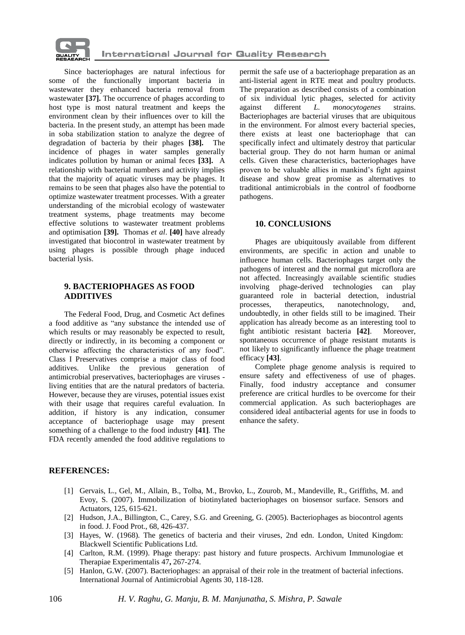

Since bacteriophages are natural infectious for some of the functionally important bacteria in wastewater they enhanced bacteria removal from wastewater **[37].** The occurrence of phages according to host type is most natural treatment and keeps the environment clean by their influences over to kill the bacteria. In the present study, an attempt has been made in soba stabilization station to analyze the degree of degradation of bacteria by their phages **[38].** The incidence of phages in water samples generally indicates pollution by human or animal feces **[33].** A relationship with bacterial numbers and activity implies that the majority of aquatic viruses may be phages. It remains to be seen that phages also have the potential to optimize wastewater treatment processes. With a greater understanding of the microbial ecology of wastewater treatment systems, phage treatments may become effective solutions to wastewater treatment problems and optimisation **[39].** Thomas *et al*. **[40]** have already investigated that biocontrol in wastewater treatment by using phages is possible through phage induced bacterial lysis.

### **9. BACTERIOPHAGES AS FOOD ADDITIVES**

The Federal Food, Drug, and Cosmetic Act defines a food additive as "any substance the intended use of which results or may reasonably be expected to result, directly or indirectly, in its becoming a component or otherwise affecting the characteristics of any food". Class I Preservatives comprise a major class of food additives. Unlike the previous generation of antimicrobial preservatives, bacteriophages are viruses living entities that are the natural predators of bacteria. However, because they are viruses, potential issues exist with their usage that requires careful evaluation. In addition, if history is any indication, consumer acceptance of bacteriophage usage may present something of a challenge to the food industry **[41]**. The FDA recently amended the food additive regulations to

permit the safe use of a bacteriophage preparation as an anti-listerial agent in RTE meat and poultry products. The preparation as described consists of a combination of six individual lytic phages, selected for activity against different *L. monocytogenes* strains. Bacteriophages are bacterial viruses that are ubiquitous in the environment. For almost every bacterial species, there exists at least one bacteriophage that can specifically infect and ultimately destroy that particular bacterial group. They do not harm human or animal cells. Given these characteristics, bacteriophages have proven to be valuable allies in mankind"s fight against disease and show great promise as alternatives to traditional antimicrobials in the control of foodborne pathogens.

## **10. CONCLUSIONS**

Phages are ubiquitously available from different environments, are specific in action and unable to influence human cells. Bacteriophages target only the pathogens of interest and the normal gut microflora are not affected. Increasingly available scientific studies involving phage-derived technologies can play guaranteed role in bacterial detection, industrial processes, therapeutics, nanotechnology, and, undoubtedly, in other fields still to be imagined. Their application has already become as an interesting tool to fight antibiotic resistant bacteria **[42]**. Moreover, spontaneous occurrence of phage resistant mutants is not likely to significantly influence the phage treatment efficacy **[43]**.

Complete phage genome analysis is required to ensure safety and effectiveness of use of phages. Finally, food industry acceptance and consumer preference are critical hurdles to be overcome for their commercial application. As such bacteriophages are considered ideal antibacterial agents for use in foods to enhance the safety.

### **REFERENCES:**

- [1] Gervais, L., Gel, M., Allain, B., Tolba, M., Brovko, L., Zourob, M., Mandeville, R., Griffiths, M. and Evoy, S. (2007). Immobilization of biotinylated bacteriophages on biosensor surface. Sensors and Actuators, 125, 615-621.
- [2] Hudson, J.A., Billington, C., Carey, S.G. and Greening, G. (2005). Bacteriophages as biocontrol agents in food. J. Food Prot., 68, 426-437.
- [3] Hayes, W. (1968). The genetics of bacteria and their viruses, 2nd edn. London, United Kingdom: Blackwell Scientific Publications Ltd.
- [4] Carlton, R.M. (1999). Phage therapy: past history and future prospects. Archivum Immunologiae et Therapiae Experimentalis 47**,** 267-274.
- [5] Hanlon, G.W. (2007). Bacteriophages: an appraisal of their role in the treatment of bacterial infections. International Journal of Antimicrobial Agents 30, 118-128.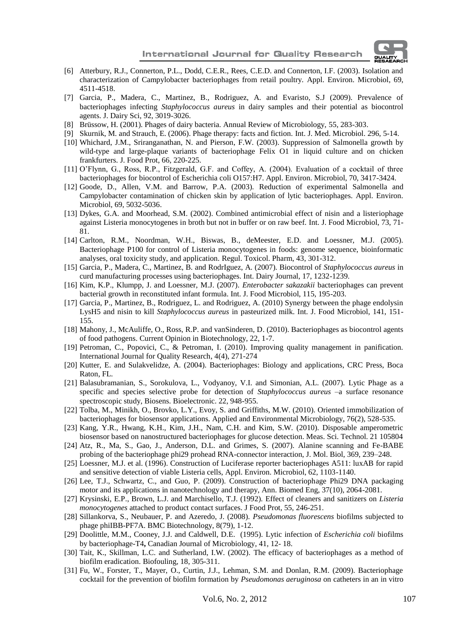

- [6] Atterbury, R.J., Connerton, P.L., Dodd, C.E.R., Rees, C.E.D. and Connerton, I.F. (2003). Isolation and characterization of Campylobacter bacteriophages from retail poultry. Appl. Environ. Microbiol, 69, 4511-4518.
- [7] Garcia, P., Madera, C., Martinez, B., Rodriguez, A. and Evaristo, S.J (2009). Prevalence of bacteriophages infecting *Staphylococcus aureus* in dairy samples and their potential as biocontrol agents. J. Dairy Sci, 92, 3019-3026.
- [8] Brüssow, H. (2001). Phages of dairy bacteria. Annual Review of Microbiology, 55, 283-303.
- [9] Skurnik, M. and Strauch, E. (2006). Phage therapy: facts and fiction. Int. J. Med. Microbiol. 296, 5-14.
- [10] Whichard, J.M., Sriranganathan, N. and Pierson, F.W. (2003). Suppression of Salmonella growth by wild-type and large-plaque variants of bacteriophage Felix O1 in liquid culture and on chicken frankfurters. J. Food Prot, 66, 220-225.
- [11] O"Flynn, G., Ross, R.P., Fitzgerald, G.F. and Coffey, A. (2004). Evaluation of a cocktail of three bacteriophages for biocontrol of Escherichia coli O157:H7. Appl. Environ. Microbiol, 70, 3417-3424.
- [12] Goode, D., Allen, V.M. and Barrow, P.A. (2003). Reduction of experimental Salmonella and Campylobacter contamination of chicken skin by application of lytic bacteriophages. Appl. Environ. Microbiol, 69, 5032-5036.
- [13] Dykes, G.A. and Moorhead, S.M. (2002). Combined antimicrobial effect of nisin and a listeriophage against Listeria monocytogenes in broth but not in buffer or on raw beef. Int. J. Food Microbiol, 73, 71- 81.
- [14] Carlton, R.M., Noordman, W.H., Biswas, B., deMeester, E.D. and Loessner, M.J. (2005). Bacteriophage P100 for control of Listeria monocytogenes in foods: genome sequence, bioinformatic analyses, oral toxicity study, and application. Regul. Toxicol. Pharm, 43, 301-312.
- [15] Garcia, P., Madera, C., Martinez, B. and RodrIguez, A. (2007). Biocontrol of *Staphylococcus aureus* in curd manufacturing processes using bacteriophages. Int. Dairy Journal, 17, 1232-1239.
- [16] Kim, K.P., Klumpp, J. and Loessner, M.J. (2007). *Enterobacter sakazakii* bacteriophages can prevent bacterial growth in reconstituted infant formula. Int. J. Food Microbiol, 115, 195-203.
- [17] Garcia, P., Martinez, B., Rodriguez, L. and Rodriguez, A. (2010) Synergy between the phage endolysin LysH5 and nisin to kill *Staphylococcus aureus* in pasteurized milk. Int. J. Food Microbiol, 141, 151- 155.
- [18] Mahony, J., McAuliffe, O., Ross, R.P. and vanSinderen, D. (2010). Bacteriophages as biocontrol agents of food pathogens. Current Opinion in Biotechnology, 22, 1-7.
- [19] Petroman, C., Popovici, C., & Petroman, I. (2010). Improving quality management in panification. International Journal for Quality Research, 4(4), 271-274
- [20] Kutter, E. and Sulakvelidze, A. (2004). Bacteriophages: Biology and applications, CRC Press, Boca Raton, FL.
- [21] Balasubramanian, S., Sorokulova, L., Vodyanoy, V.I. and Simonian, A.L. (2007). Lytic Phage as a specific and species selective probe for detection of *Staphylococcus aureus* –a surface resonance spectroscopic study, Biosens. Bioelectronic. 22, 948-955.
- [22] Tolba, M., Minikh, O., Brovko, L.Y., Evoy, S. and Griffiths, M.W. (2010). Oriented immobilization of bacteriophages for biosensor applications. Applied and Environmental Microbiology, 76(2), 528-535.
- [23] Kang, Y.R., Hwang, K.H., Kim, J.H., Nam, C.H. and Kim, S.W. (2010). Disposable amperometric biosensor based on nanostructured bacteriophages for glucose detection. Meas. Sci. Technol. 21 105804
- [24] Atz, R., Ma, S., Gao, J., Anderson, D.L. and Grimes, S. (2007). Alanine scanning and Fe-BABE probing of the bacteriophage phi29 prohead RNA-connector interaction, J. Mol. Biol, 369, 239–248.
- [25] Loessner, M.J. et al. (1996). Construction of Luciferase reporter bacteriophages A511: luxAB for rapid and sensitive detection of viable Listeria cells, Appl. Environ. Microbiol, 62, 1103-1140.
- [26] Lee, T.J., Schwartz, C., and Guo, P. (2009). Construction of bacteriophage Phi29 DNA packaging motor and its applications in nanotechnology and therapy, Ann. Biomed Eng, 37(10), 2064-2081.
- [27] Krysinski, E.P., Brown, L.J. and Marchisello, T.J. (1992). Effect of cleaners and sanitizers on *Listeria monocytogenes* attached to product contact surfaces. J Food Prot, 55, 246-251.
- [28] Sillankorva, S., Neubauer, P. and Azeredo, J. (2008). *Pseudomonas fluorescens* biofilms subjected to phage phiIBB-PF7A. BMC Biotechnology, 8(79), 1-12.
- [29] Doolittle, M.M., Cooney, J.J. and Caldwell, D.E. (1995). Lytic infection of *Escherichia coli* biofilms by bacteriophage-T4**,** Canadian Journal of Microbiology, 41, 12- 18.
- [30] Tait, K., Skillman, L.C. and Sutherland, I.W. (2002). The efficacy of bacteriophages as a method of biofilm eradication. Biofouling, 18, 305-311.
- [31] Fu, W., Forster, T., Mayer, O., Curtin, J.J., Lehman, S.M. and Donlan, R.M. (2009). Bacteriophage cocktail for the prevention of biofilm formation by *Pseudomonas aeruginosa* on catheters in an in vitro